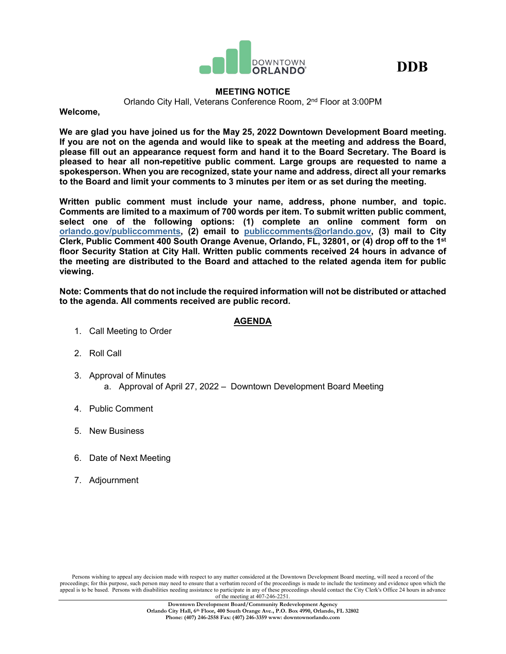



## **MEETING NOTICE**

Orlando City Hall, Veterans Conference Room, 2nd Floor at 3:00PM

**Welcome,**

**We are glad you have joined us for the May 25, 2022 Downtown Development Board meeting. If you are not on the agenda and would like to speak at the meeting and address the Board, please fill out an appearance request form and hand it to the Board Secretary. The Board is pleased to hear all non-repetitive public comment. Large groups are requested to name a spokesperson. When you are recognized, state your name and address, direct all your remarks to the Board and limit your comments to 3 minutes per item or as set during the meeting.**

**Written public comment must include your name, address, phone number, and topic. Comments are limited to a maximum of 700 words per item. To submit written public comment, select one of the following options: (1) complete an online comment form on [orlando.gov/publiccomments,](http://www.orlando.gov/publiccomments) (2) email to [publiccomments@orlando.gov,](mailto:publiccomments@orlando.gov) (3) mail to City Clerk, Public Comment 400 South Orange Avenue, Orlando, FL, 32801, or (4) drop off to the 1st floor Security Station at City Hall. Written public comments received 24 hours in advance of the meeting are distributed to the Board and attached to the related agenda item for public viewing.** 

**Note: Comments that do not include the required information will not be distributed or attached to the agenda. All comments received are public record.**

## **AGENDA**

- 1. Call Meeting to Order
- 2. Roll Call
- 3. Approval of Minutes a. Approval of April 27, 2022 – Downtown Development Board Meeting
- 4. Public Comment
- 5. New Business
- 6. Date of Next Meeting
- 7. Adjournment

Persons wishing to appeal any decision made with respect to any matter considered at the Downtown Development Board meeting, will need a record of the proceedings; for this purpose, such person may need to ensure that a verbatim record of the proceedings is made to include the testimony and evidence upon which the appeal is to be based. Persons with disabilities needing assistance to participate in any of these proceedings should contact the City Clerk's Office 24 hours in advance of the meeting at 407-246-2251.